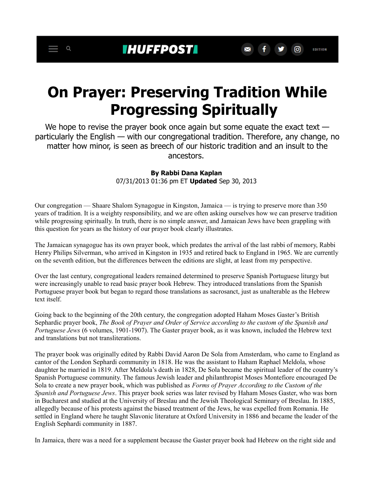Q

**IHUFFPOSTI** 

 $\boxtimes$ (ම

## **EDITION**

## **On Prayer: Preserving Tradition While Progressing Spiritually**

We hope to revise the prayer book once again but some equate the exact text particularly the English — with our congregational tradition. Therefore, any change, no matter how minor, is seen as breech of our historic tradition and an insult to the ancestors.

## **By Rabbi Dana Kaplan**  07/31/2013 01:36 pm ET **Updated** Sep 30, 2013

Our congregation — Shaare Shalom Synagogue in Kingston, Jamaica — is trying to preserve more than 350 years of tradition. It is a weighty responsibility, and we are often asking ourselves how we can preserve tradition while progressing spiritually. In truth, there is no simple answer, and Jamaican Jews have been grappling with this question for years as the history of our prayer book clearly illustrates.

The Jamaican synagogue has its own prayer book, which predates the arrival of the last rabbi of memory, Rabbi Henry Philips Silverman, who arrived in Kingston in 1935 and retired back to England in 1965. We are currently on the seventh edition, but the differences between the editions are slight, at least from my perspective.

Over the last century, congregational leaders remained determined to preserve Spanish Portuguese liturgy but were increasingly unable to read basic prayer book Hebrew. They introduced translations from the Spanish Portuguese prayer book but began to regard those translations as sacrosanct, just as unalterable as the Hebrew text itself.

Going back to the beginning of the 20th century, the congregation adopted Haham Moses Gaster's British Sephardic prayer book, *The Book of Prayer and Order of Service according to the custom of the Spanish and Portuguese Jews* (6 volumes, 1901-1907). The Gaster prayer book, as it was known, included the Hebrew text and translations but not transliterations.

The prayer book was originally edited by Rabbi David Aaron De Sola from Amsterdam, who came to England as cantor of the London Sephardi community in 1818. He was the assistant to Haham Raphael Meldola, whose daughter he married in 1819. After Meldola's death in 1828, De Sola became the spiritual leader of the country's Spanish Portuguese community. The famous Jewish leader and philanthropist Moses Montefiore encouraged De Sola to create a new prayer book, which was published as *Forms of Prayer According to the Custom of the Spanish and Portuguese Jews*. This prayer book series was later revised by Haham Moses Gaster, who was born in Bucharest and studied at the University of Breslau and the Jewish Theological Seminary of Breslau. In 1885, allegedly because of his protests against the biased treatment of the Jews, he was expelled from Romania. He settled in England where he taught Slavonic literature at Oxford University in 1886 and became the leader of the English Sephardi community in 1887.

In Jamaica, there was a need for a supplement because the Gaster prayer book had Hebrew on the right side and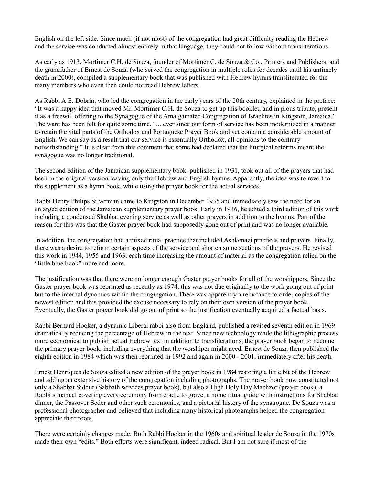English on the left side. Since much (if not most) of the congregation had great difficulty reading the Hebrew and the service was conducted almost entirely in that language, they could not follow without transliterations.

As early as 1913, Mortimer C.H. de Souza, founder of Mortimer C. de Souza & Co., Printers and Publishers, and the grandfather of Ernest de Souza (who served the congregation in multiple roles for decades until his untimely death in 2000), compiled a supplementary book that was published with Hebrew hymns transliterated for the many members who even then could not read Hebrew letters.

As Rabbi A.E. Dobrin, who led the congregation in the early years of the 20th century, explained in the preface: "It was a happy idea that moved Mr. Mortimer C.H. de Souza to get up this booklet, and in pious tribute, present it as a freewill offering to the Synagogue of the Amalgamated Congregation of Israelites in Kingston, Jamaica." The want has been felt for quite some time, "... ever since our form of service has been modernized in a manner to retain the vital parts of the Orthodox and Portuguese Prayer Book and yet contain a considerable amount of English. We can say as a result that our service is essentially Orthodox, all opinions to the contrary notwithstanding." It is clear from this comment that some had declared that the liturgical reforms meant the synagogue was no longer traditional.

The second edition of the Jamaican supplementary book, published in 1931, took out all of the prayers that had been in the original version leaving only the Hebrew and English hymns. Apparently, the idea was to revert to the supplement as a hymn book, while using the prayer book for the actual services.

Rabbi Henry Philips Silverman came to Kingston in December 1935 and immediately saw the need for an enlarged edition of the Jamaican supplementary prayer book. Early in 1936, he edited a third edition of this work including a condensed Shabbat evening service as well as other prayers in addition to the hymns. Part of the reason for this was that the Gaster prayer book had supposedly gone out of print and was no longer available.

In addition, the congregation had a mixed ritual practice that included Ashkenazi practices and prayers. Finally, there was a desire to reform certain aspects of the service and shorten some sections of the prayers. He revised this work in 1944, 1955 and 1963, each time increasing the amount of material as the congregation relied on the "little blue book" more and more.

The justification was that there were no longer enough Gaster prayer books for all of the worshippers. Since the Gaster prayer book was reprinted as recently as 1974, this was not due originally to the work going out of print but to the internal dynamics within the congregation. There was apparently a reluctance to order copies of the newest edition and this provided the excuse necessary to rely on their own version of the prayer book. Eventually, the Gaster prayer book did go out of print so the justification eventually acquired a factual basis.

Rabbi Bernard Hooker, a dynamic Liberal rabbi also from England, published a revised seventh edition in 1969 dramatically reducing the percentage of Hebrew in the text. Since new technology made the lithographic process more economical to publish actual Hebrew text in addition to transliterations, the prayer book began to become the primary prayer book, including everything that the worshiper might need. Ernest de Souza then published the eighth edition in 1984 which was then reprinted in 1992 and again in 2000 - 2001, immediately after his death.

Ernest Henriques de Souza edited a new edition of the prayer book in 1984 restoring a little bit of the Hebrew and adding an extensive history of the congregation including photographs. The prayer book now constituted not only a Shabbat Siddur (Sabbath services prayer book), but also a High Holy Day Machzor (prayer book), a Rabbi's manual covering every ceremony from cradle to grave, a home ritual guide with instructions for Shabbat dinner, the Passover Seder and other such ceremonies, and a pictorial history of the synagogue. De Souza was a professional photographer and believed that including many historical photographs helped the congregation appreciate their roots.

There were certainly changes made. Both Rabbi Hooker in the 1960s and spiritual leader de Souza in the 1970s made their own "edits." Both efforts were significant, indeed radical. But I am not sure if most of the